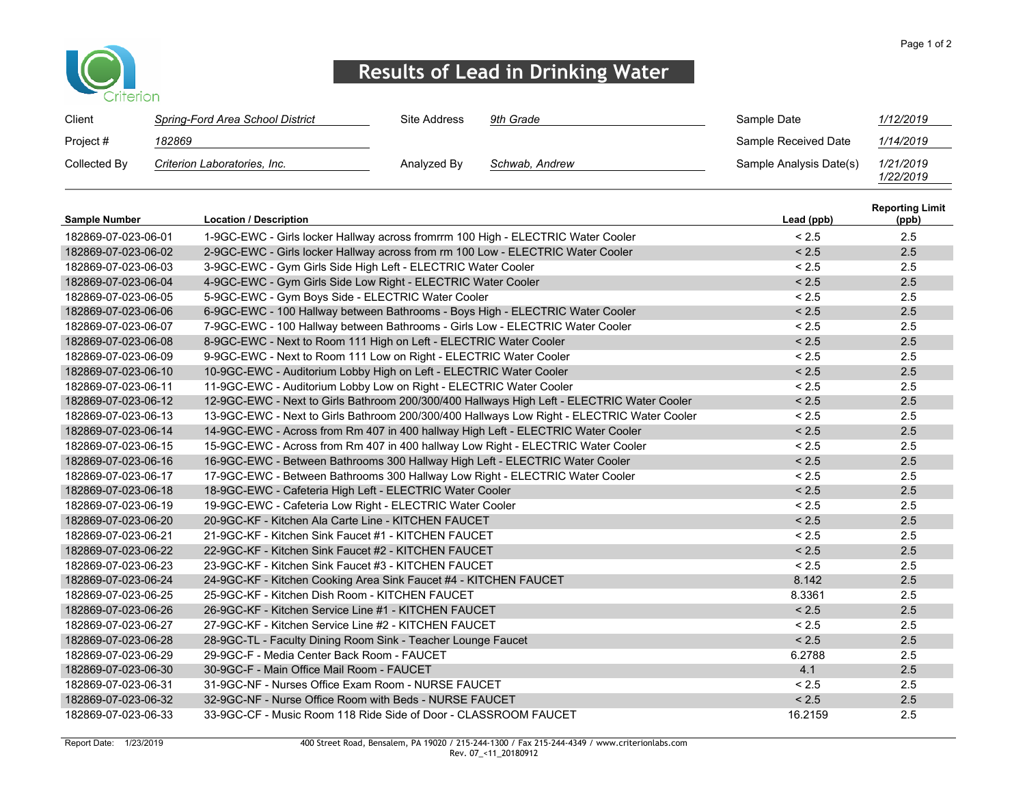

## Results of Lead in Drinking Water

| Client       | Spring-Ford Area School District | Site Address | 9th Grade      | Sample Date             | 1/12/2019              |
|--------------|----------------------------------|--------------|----------------|-------------------------|------------------------|
| Project #    | 182869                           |              |                | Sample Received Date    | 1/14/2019              |
| Collected By | Criterion Laboratories, Inc.     | Analyzed By  | Schwab, Andrew | Sample Analysis Date(s) | 1/21/2019<br>1/22/2019 |

| <b>Sample Number</b> | <b>Location / Description</b>                                                              | Lead (ppb) | <b>Reporting Limit</b><br>(ppb) |
|----------------------|--------------------------------------------------------------------------------------------|------------|---------------------------------|
| 182869-07-023-06-01  | 1-9GC-EWC - Girls locker Hallway across fromrrm 100 High - ELECTRIC Water Cooler           | < 2.5      | 2.5                             |
| 182869-07-023-06-02  | 2-9GC-EWC - Girls locker Hallway across from rm 100 Low - ELECTRIC Water Cooler            | < 2.5      | 2.5                             |
| 182869-07-023-06-03  | 3-9GC-EWC - Gym Girls Side High Left - ELECTRIC Water Cooler                               | < 2.5      | 2.5                             |
| 182869-07-023-06-04  | 4-9GC-EWC - Gym Girls Side Low Right - ELECTRIC Water Cooler                               | < 2.5      | 2.5                             |
| 182869-07-023-06-05  | 5-9GC-EWC - Gym Boys Side - ELECTRIC Water Cooler                                          | < 2.5      | 2.5                             |
| 182869-07-023-06-06  | 6-9GC-EWC - 100 Hallway between Bathrooms - Boys High - ELECTRIC Water Cooler              | < 2.5      | 2.5                             |
| 182869-07-023-06-07  | 7-9GC-EWC - 100 Hallway between Bathrooms - Girls Low - ELECTRIC Water Cooler              | < 2.5      | 2.5                             |
| 182869-07-023-06-08  | 8-9GC-EWC - Next to Room 111 High on Left - ELECTRIC Water Cooler                          | < 2.5      | 2.5                             |
| 182869-07-023-06-09  | 9-9GC-EWC - Next to Room 111 Low on Right - ELECTRIC Water Cooler                          | < 2.5      | 2.5                             |
| 182869-07-023-06-10  | 10-9GC-EWC - Auditorium Lobby High on Left - ELECTRIC Water Cooler                         | < 2.5      | 2.5                             |
| 182869-07-023-06-11  | 11-9GC-EWC - Auditorium Lobby Low on Right - ELECTRIC Water Cooler                         | < 2.5      | 2.5                             |
| 182869-07-023-06-12  | 12-9GC-EWC - Next to Girls Bathroom 200/300/400 Hallways High Left - ELECTRIC Water Cooler | < 2.5      | 2.5                             |
| 182869-07-023-06-13  | 13-9GC-EWC - Next to Girls Bathroom 200/300/400 Hallways Low Right - ELECTRIC Water Cooler | < 2.5      | 2.5                             |
| 182869-07-023-06-14  | 14-9GC-EWC - Across from Rm 407 in 400 hallway High Left - ELECTRIC Water Cooler           | < 2.5      | 2.5                             |
| 182869-07-023-06-15  | 15-9GC-EWC - Across from Rm 407 in 400 hallway Low Right - ELECTRIC Water Cooler           | < 2.5      | 2.5                             |
| 182869-07-023-06-16  | 16-9GC-EWC - Between Bathrooms 300 Hallway High Left - ELECTRIC Water Cooler               | < 2.5      | 2.5                             |
| 182869-07-023-06-17  | 17-9GC-EWC - Between Bathrooms 300 Hallway Low Right - ELECTRIC Water Cooler               | < 2.5      | 2.5                             |
| 182869-07-023-06-18  | 18-9GC-EWC - Cafeteria High Left - ELECTRIC Water Cooler                                   | < 2.5      | 2.5                             |
| 182869-07-023-06-19  | 19-9GC-EWC - Cafeteria Low Right - ELECTRIC Water Cooler                                   | < 2.5      | 2.5                             |
| 182869-07-023-06-20  | 20-9GC-KF - Kitchen Ala Carte Line - KITCHEN FAUCET                                        | < 2.5      | 2.5                             |
| 182869-07-023-06-21  | 21-9GC-KF - Kitchen Sink Faucet #1 - KITCHEN FAUCET                                        | < 2.5      | 2.5                             |
| 182869-07-023-06-22  | 22-9GC-KF - Kitchen Sink Faucet #2 - KITCHEN FAUCET                                        | < 2.5      | 2.5                             |
| 182869-07-023-06-23  | 23-9GC-KF - Kitchen Sink Faucet #3 - KITCHEN FAUCET                                        | < 2.5      | 2.5                             |
| 182869-07-023-06-24  | 24-9GC-KF - Kitchen Cooking Area Sink Faucet #4 - KITCHEN FAUCET                           | 8.142      | 2.5                             |
| 182869-07-023-06-25  | 25-9GC-KF - Kitchen Dish Room - KITCHEN FAUCET                                             | 8.3361     | 2.5                             |
| 182869-07-023-06-26  | 26-9GC-KF - Kitchen Service Line #1 - KITCHEN FAUCET                                       | < 2.5      | 2.5                             |
| 182869-07-023-06-27  | 27-9GC-KF - Kitchen Service Line #2 - KITCHEN FAUCET                                       | < 2.5      | 2.5                             |
| 182869-07-023-06-28  | 28-9GC-TL - Faculty Dining Room Sink - Teacher Lounge Faucet                               | < 2.5      | 2.5                             |
| 182869-07-023-06-29  | 29-9GC-F - Media Center Back Room - FAUCET                                                 | 6.2788     | 2.5                             |
| 182869-07-023-06-30  | 30-9GC-F - Main Office Mail Room - FAUCET                                                  | 4.1        | 2.5                             |
| 182869-07-023-06-31  | 31-9GC-NF - Nurses Office Exam Room - NURSE FAUCET                                         | < 2.5      | 2.5                             |
| 182869-07-023-06-32  | 32-9GC-NF - Nurse Office Room with Beds - NURSE FAUCET                                     | < 2.5      | 2.5                             |
| 182869-07-023-06-33  | 33-9GC-CF - Music Room 118 Ride Side of Door - CLASSROOM FAUCET                            | 16.2159    | 2.5                             |